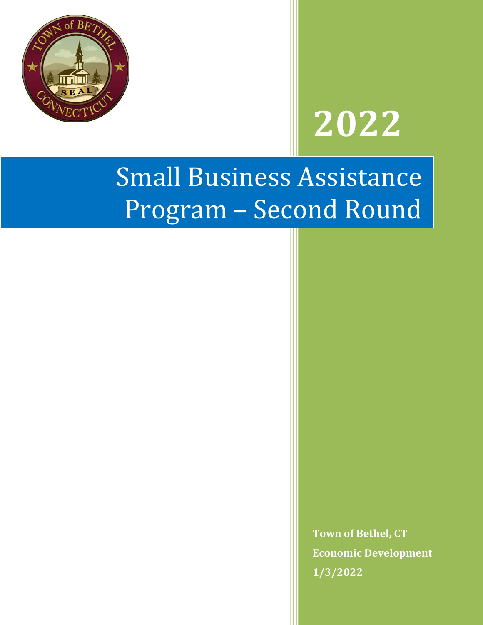

# **2022**

## Small Business Assistance Program – Second Round

**Town of Bethel, CT Economic Development 1/3/2022**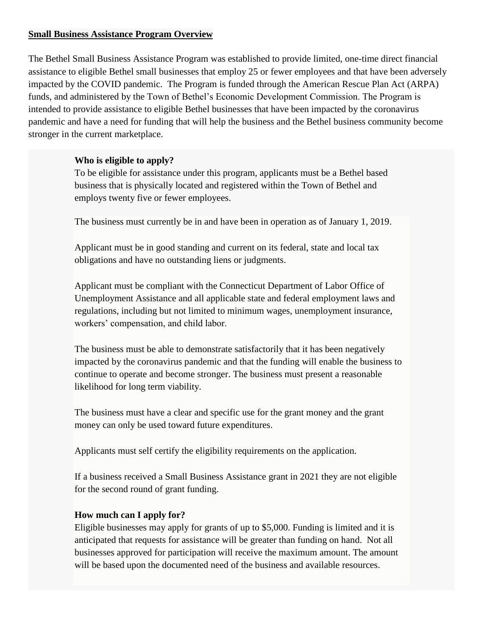#### **Small Business Assistance Program Overview**

The Bethel Small Business Assistance Program was established to provide limited, one-time direct financial assistance to eligible Bethel small businesses that employ 25 or fewer employees and that have been adversely impacted by the COVID pandemic. The Program is funded through the American Rescue Plan Act (ARPA) funds, and administered by the Town of Bethel's Economic Development Commission. The Program is intended to provide assistance to eligible Bethel businesses that have been impacted by the coronavirus pandemic and have a need for funding that will help the business and the Bethel business community become stronger in the current marketplace.

#### **Who is eligible to apply?**

To be eligible for assistance under this program, applicants must be a Bethel based business that is physically located and registered within the Town of Bethel and employs twenty five or fewer employees.

The business must currently be in and have been in operation as of January 1, 2019.

Applicant must be in good standing and current on its federal, state and local tax obligations and have no outstanding liens or judgments.

Applicant must be compliant with the Connecticut Department of Labor Office of Unemployment Assistance and all applicable state and federal employment laws and regulations, including but not limited to minimum wages, unemployment insurance, workers' compensation, and child labor.

The business must be able to demonstrate satisfactorily that it has been negatively impacted by the coronavirus pandemic and that the funding will enable the business to continue to operate and become stronger. The business must present a reasonable likelihood for long term viability.

The business must have a clear and specific use for the grant money and the grant money can only be used toward future expenditures.

Applicants must self certify the eligibility requirements on the application.

If a business received a Small Business Assistance grant in 2021 they are not eligible for the second round of grant funding.

#### **How much can I apply for?**

Eligible businesses may apply for grants of up to \$5,000. Funding is limited and it is anticipated that requests for assistance will be greater than funding on hand. Not all businesses approved for participation will receive the maximum amount. The amount will be based upon the documented need of the business and available resources.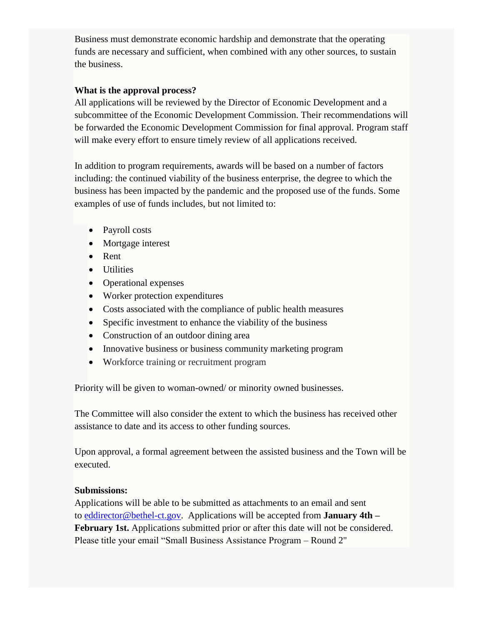Business must demonstrate economic hardship and demonstrate that the operating funds are necessary and sufficient, when combined with any other sources, to sustain the business.

#### **What is the approval process?**

All applications will be reviewed by the Director of Economic Development and a subcommittee of the Economic Development Commission. Their recommendations will be forwarded the Economic Development Commission for final approval. Program staff will make every effort to ensure timely review of all applications received.

In addition to program requirements, awards will be based on a number of factors including: the continued viability of the business enterprise, the degree to which the business has been impacted by the pandemic and the proposed use of the funds. Some examples of use of funds includes, but not limited to:

- Payroll costs
- Mortgage interest
- Rent
- Utilities
- Operational expenses
- Worker protection expenditures
- Costs associated with the compliance of public health measures
- Specific investment to enhance the viability of the business
- Construction of an outdoor dining area
- Innovative business or business community marketing program
- Workforce training or recruitment program

Priority will be given to woman-owned/ or minority owned businesses.

The Committee will also consider the extent to which the business has received other assistance to date and its access to other funding sources.

Upon approval, a formal agreement between the assisted business and the Town will be executed.

#### **Submissions:**

Applications will be able to be submitted as attachments to an email and sent to [eddirector@bethel-ct.gov.](mailto:eddirector@bethel-ct.gov) Applications will be accepted from **January 4th – February 1st.** Applications submitted prior or after this date will not be considered. Please title your email "Small Business Assistance Program – Round 2"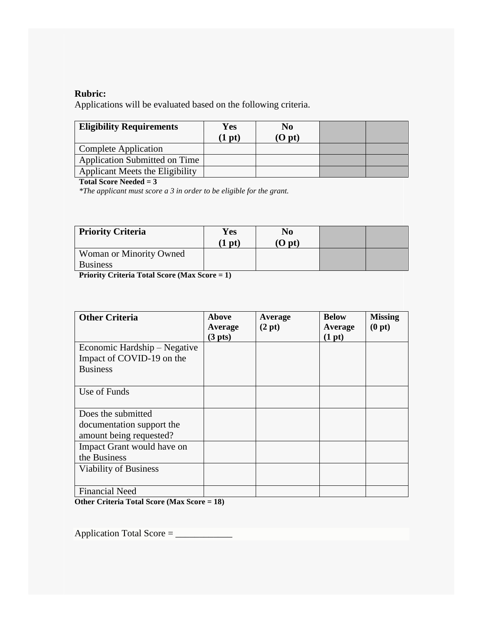#### **Rubric:**

Applications will be evaluated based on the following criteria.

| <b>Eligibility Requirements</b>      | Yes<br>$1$ pt) | No<br>(O pt) |  |
|--------------------------------------|----------------|--------------|--|
| Complete Application                 |                |              |  |
| <b>Application Submitted on Time</b> |                |              |  |
| Applicant Meets the Eligibility      |                |              |  |

**Total Score Needed = 3** 

*\*The applicant must score a 3 in order to be eligible for the grant.*

| <b>Priority Criteria</b>       | Yes<br>$(1$ pt) | No<br>$\left($ O pt $\right)$ |  |
|--------------------------------|-----------------|-------------------------------|--|
| <b>Woman or Minority Owned</b> |                 |                               |  |
| <b>Business</b>                |                 |                               |  |

**Priority Criteria Total Score (Max Score = 1)**

| <b>Other Criteria</b>        | Above<br>Average    | Average<br>(2 pt) | <b>Below</b><br>Average | <b>Missing</b><br>(0 pt) |
|------------------------------|---------------------|-------------------|-------------------------|--------------------------|
|                              | (3 <sub>p</sub> ts) |                   | (1 pt)                  |                          |
| Economic Hardship – Negative |                     |                   |                         |                          |
| Impact of COVID-19 on the    |                     |                   |                         |                          |
| <b>Business</b>              |                     |                   |                         |                          |
|                              |                     |                   |                         |                          |
| Use of Funds                 |                     |                   |                         |                          |
|                              |                     |                   |                         |                          |
| Does the submitted           |                     |                   |                         |                          |
| documentation support the    |                     |                   |                         |                          |
| amount being requested?      |                     |                   |                         |                          |
| Impact Grant would have on   |                     |                   |                         |                          |
| the Business                 |                     |                   |                         |                          |
| <b>Viability of Business</b> |                     |                   |                         |                          |
|                              |                     |                   |                         |                          |
| <b>Financial Need</b>        |                     |                   |                         |                          |

**Other Criteria Total Score (Max Score = 18)**

Application Total Score  $=$  \_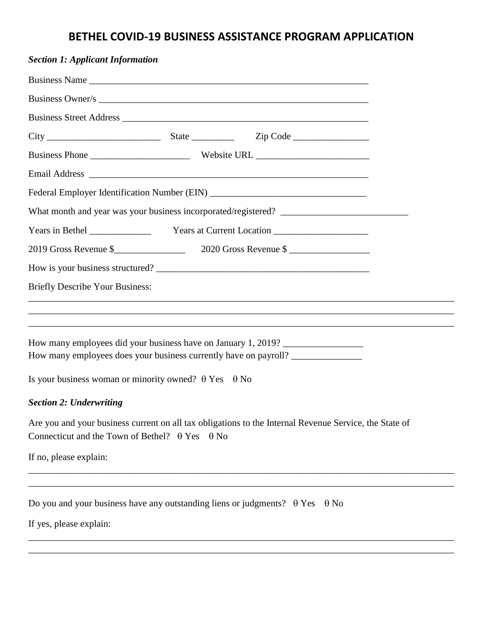### **BETHEL COVID-19 BUSINESS ASSISTANCE PROGRAM APPLICATION**

| <b>Section 1: Applicant Information</b>                            |                                                                                                        |  |
|--------------------------------------------------------------------|--------------------------------------------------------------------------------------------------------|--|
|                                                                    | Business Name                                                                                          |  |
|                                                                    |                                                                                                        |  |
|                                                                    |                                                                                                        |  |
|                                                                    |                                                                                                        |  |
|                                                                    |                                                                                                        |  |
|                                                                    |                                                                                                        |  |
|                                                                    | Federal Employer Identification Number (EIN) ___________________________________                       |  |
|                                                                    |                                                                                                        |  |
|                                                                    |                                                                                                        |  |
|                                                                    |                                                                                                        |  |
|                                                                    |                                                                                                        |  |
| <b>Briefly Describe Your Business:</b>                             |                                                                                                        |  |
|                                                                    |                                                                                                        |  |
|                                                                    |                                                                                                        |  |
|                                                                    | How many employees did your business have on January 1, 2019?                                          |  |
|                                                                    | How many employees does your business currently have on payroll? _______________                       |  |
| Is your business woman or minority owned? $\theta$ Yes $\theta$ No |                                                                                                        |  |
| <b>Section 2: Underwriting</b>                                     |                                                                                                        |  |
| Connecticut and the Town of Bethel? $\theta$ Yes $\theta$ No       | Are you and your business current on all tax obligations to the Internal Revenue Service, the State of |  |
| If no, please explain:                                             |                                                                                                        |  |
|                                                                    |                                                                                                        |  |
|                                                                    | Do you and your business have any outstanding liens or judgments? $\theta$ Yes $\theta$ No             |  |
| If yes, please explain:                                            |                                                                                                        |  |

\_\_\_\_\_\_\_\_\_\_\_\_\_\_\_\_\_\_\_\_\_\_\_\_\_\_\_\_\_\_\_\_\_\_\_\_\_\_\_\_\_\_\_\_\_\_\_\_\_\_\_\_\_\_\_\_\_\_\_\_\_\_\_\_\_\_\_\_\_\_\_\_\_\_\_\_\_\_\_\_\_\_\_\_\_\_\_\_\_\_ \_\_\_\_\_\_\_\_\_\_\_\_\_\_\_\_\_\_\_\_\_\_\_\_\_\_\_\_\_\_\_\_\_\_\_\_\_\_\_\_\_\_\_\_\_\_\_\_\_\_\_\_\_\_\_\_\_\_\_\_\_\_\_\_\_\_\_\_\_\_\_\_\_\_\_\_\_\_\_\_\_\_\_\_\_\_\_\_\_\_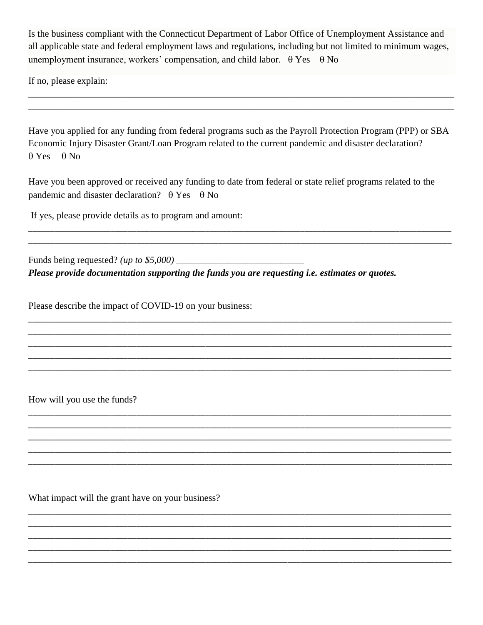Is the business compliant with the Connecticut Department of Labor Office of Unemployment Assistance and all applicable state and federal employment laws and regulations, including but not limited to minimum wages, unemployment insurance, workers' compensation, and child labor.  $\theta$  Yes  $\theta$  No

\_\_\_\_\_\_\_\_\_\_\_\_\_\_\_\_\_\_\_\_\_\_\_\_\_\_\_\_\_\_\_\_\_\_\_\_\_\_\_\_\_\_\_\_\_\_\_\_\_\_\_\_\_\_\_\_\_\_\_\_\_\_\_\_\_\_\_\_\_\_\_\_\_\_\_\_\_\_\_\_\_\_\_\_\_\_\_\_\_\_ \_\_\_\_\_\_\_\_\_\_\_\_\_\_\_\_\_\_\_\_\_\_\_\_\_\_\_\_\_\_\_\_\_\_\_\_\_\_\_\_\_\_\_\_\_\_\_\_\_\_\_\_\_\_\_\_\_\_\_\_\_\_\_\_\_\_\_\_\_\_\_\_\_\_\_\_\_\_\_\_\_\_\_\_\_\_\_\_\_\_

If no, please explain:

Have you applied for any funding from federal programs such as the Payroll Protection Program (PPP) or SBA Economic Injury Disaster Grant/Loan Program related to the current pandemic and disaster declaration?  $\theta$  Yes  $\theta$  No

Have you been approved or received any funding to date from federal or state relief programs related to the pandemic and disaster declaration?  $\theta$  Yes  $\theta$  No

\_\_\_\_\_\_\_\_\_\_\_\_\_\_\_\_\_\_\_\_\_\_\_\_\_\_\_\_\_\_\_\_\_\_\_\_\_\_\_\_\_\_\_\_\_\_\_\_\_\_\_\_\_\_\_\_\_\_\_\_\_\_\_\_\_\_\_\_\_\_\_\_\_\_\_\_\_\_\_\_\_\_\_\_\_\_\_\_\_\_\_\_\_\_\_\_\_\_ \_\_\_\_\_\_\_\_\_\_\_\_\_\_\_\_\_\_\_\_\_\_\_\_\_\_\_\_\_\_\_\_\_\_\_\_\_\_\_\_\_\_\_\_\_\_\_\_\_\_\_\_\_\_\_\_\_\_\_\_\_\_\_\_\_\_\_\_\_\_\_\_\_\_\_\_\_\_\_\_\_\_\_\_\_\_\_\_\_\_\_\_\_\_\_\_\_\_

\_\_\_\_\_\_\_\_\_\_\_\_\_\_\_\_\_\_\_\_\_\_\_\_\_\_\_\_\_\_\_\_\_\_\_\_\_\_\_\_\_\_\_\_\_\_\_\_\_\_\_\_\_\_\_\_\_\_\_\_\_\_\_\_\_\_\_\_\_\_\_\_\_\_\_\_\_\_\_\_\_\_\_\_\_\_\_\_\_\_\_\_\_\_\_\_\_\_ \_\_\_\_\_\_\_\_\_\_\_\_\_\_\_\_\_\_\_\_\_\_\_\_\_\_\_\_\_\_\_\_\_\_\_\_\_\_\_\_\_\_\_\_\_\_\_\_\_\_\_\_\_\_\_\_\_\_\_\_\_\_\_\_\_\_\_\_\_\_\_\_\_\_\_\_\_\_\_\_\_\_\_\_\_\_\_\_\_\_\_\_\_\_\_\_\_\_ \_\_\_\_\_\_\_\_\_\_\_\_\_\_\_\_\_\_\_\_\_\_\_\_\_\_\_\_\_\_\_\_\_\_\_\_\_\_\_\_\_\_\_\_\_\_\_\_\_\_\_\_\_\_\_\_\_\_\_\_\_\_\_\_\_\_\_\_\_\_\_\_\_\_\_\_\_\_\_\_\_\_\_\_\_\_\_\_\_\_\_\_\_\_\_\_\_\_ \_\_\_\_\_\_\_\_\_\_\_\_\_\_\_\_\_\_\_\_\_\_\_\_\_\_\_\_\_\_\_\_\_\_\_\_\_\_\_\_\_\_\_\_\_\_\_\_\_\_\_\_\_\_\_\_\_\_\_\_\_\_\_\_\_\_\_\_\_\_\_\_\_\_\_\_\_\_\_\_\_\_\_\_\_\_\_\_\_\_\_\_\_\_\_\_\_\_ \_\_\_\_\_\_\_\_\_\_\_\_\_\_\_\_\_\_\_\_\_\_\_\_\_\_\_\_\_\_\_\_\_\_\_\_\_\_\_\_\_\_\_\_\_\_\_\_\_\_\_\_\_\_\_\_\_\_\_\_\_\_\_\_\_\_\_\_\_\_\_\_\_\_\_\_\_\_\_\_\_\_\_\_\_\_\_\_\_\_\_\_\_\_\_\_\_\_

\_\_\_\_\_\_\_\_\_\_\_\_\_\_\_\_\_\_\_\_\_\_\_\_\_\_\_\_\_\_\_\_\_\_\_\_\_\_\_\_\_\_\_\_\_\_\_\_\_\_\_\_\_\_\_\_\_\_\_\_\_\_\_\_\_\_\_\_\_\_\_\_\_\_\_\_\_\_\_\_\_\_\_\_\_\_\_\_\_\_\_\_\_\_\_\_\_\_ \_\_\_\_\_\_\_\_\_\_\_\_\_\_\_\_\_\_\_\_\_\_\_\_\_\_\_\_\_\_\_\_\_\_\_\_\_\_\_\_\_\_\_\_\_\_\_\_\_\_\_\_\_\_\_\_\_\_\_\_\_\_\_\_\_\_\_\_\_\_\_\_\_\_\_\_\_\_\_\_\_\_\_\_\_\_\_\_\_\_\_\_\_\_\_\_\_\_ \_\_\_\_\_\_\_\_\_\_\_\_\_\_\_\_\_\_\_\_\_\_\_\_\_\_\_\_\_\_\_\_\_\_\_\_\_\_\_\_\_\_\_\_\_\_\_\_\_\_\_\_\_\_\_\_\_\_\_\_\_\_\_\_\_\_\_\_\_\_\_\_\_\_\_\_\_\_\_\_\_\_\_\_\_\_\_\_\_\_\_\_\_\_\_\_\_\_ \_\_\_\_\_\_\_\_\_\_\_\_\_\_\_\_\_\_\_\_\_\_\_\_\_\_\_\_\_\_\_\_\_\_\_\_\_\_\_\_\_\_\_\_\_\_\_\_\_\_\_\_\_\_\_\_\_\_\_\_\_\_\_\_\_\_\_\_\_\_\_\_\_\_\_\_\_\_\_\_\_\_\_\_\_\_\_\_\_\_\_\_\_\_\_\_\_\_ \_\_\_\_\_\_\_\_\_\_\_\_\_\_\_\_\_\_\_\_\_\_\_\_\_\_\_\_\_\_\_\_\_\_\_\_\_\_\_\_\_\_\_\_\_\_\_\_\_\_\_\_\_\_\_\_\_\_\_\_\_\_\_\_\_\_\_\_\_\_\_\_\_\_\_\_\_\_\_\_\_\_\_\_\_\_\_\_\_\_\_\_\_\_\_\_\_\_

\_\_\_\_\_\_\_\_\_\_\_\_\_\_\_\_\_\_\_\_\_\_\_\_\_\_\_\_\_\_\_\_\_\_\_\_\_\_\_\_\_\_\_\_\_\_\_\_\_\_\_\_\_\_\_\_\_\_\_\_\_\_\_\_\_\_\_\_\_\_\_\_\_\_\_\_\_\_\_\_\_\_\_\_\_\_\_\_\_\_\_\_\_\_\_\_\_\_ \_\_\_\_\_\_\_\_\_\_\_\_\_\_\_\_\_\_\_\_\_\_\_\_\_\_\_\_\_\_\_\_\_\_\_\_\_\_\_\_\_\_\_\_\_\_\_\_\_\_\_\_\_\_\_\_\_\_\_\_\_\_\_\_\_\_\_\_\_\_\_\_\_\_\_\_\_\_\_\_\_\_\_\_\_\_\_\_\_\_\_\_\_\_\_\_\_\_ \_\_\_\_\_\_\_\_\_\_\_\_\_\_\_\_\_\_\_\_\_\_\_\_\_\_\_\_\_\_\_\_\_\_\_\_\_\_\_\_\_\_\_\_\_\_\_\_\_\_\_\_\_\_\_\_\_\_\_\_\_\_\_\_\_\_\_\_\_\_\_\_\_\_\_\_\_\_\_\_\_\_\_\_\_\_\_\_\_\_\_\_\_\_\_\_\_\_ \_\_\_\_\_\_\_\_\_\_\_\_\_\_\_\_\_\_\_\_\_\_\_\_\_\_\_\_\_\_\_\_\_\_\_\_\_\_\_\_\_\_\_\_\_\_\_\_\_\_\_\_\_\_\_\_\_\_\_\_\_\_\_\_\_\_\_\_\_\_\_\_\_\_\_\_\_\_\_\_\_\_\_\_\_\_\_\_\_\_\_\_\_\_\_\_\_\_ \_\_\_\_\_\_\_\_\_\_\_\_\_\_\_\_\_\_\_\_\_\_\_\_\_\_\_\_\_\_\_\_\_\_\_\_\_\_\_\_\_\_\_\_\_\_\_\_\_\_\_\_\_\_\_\_\_\_\_\_\_\_\_\_\_\_\_\_\_\_\_\_\_\_\_\_\_\_\_\_\_\_\_\_\_\_\_\_\_\_\_\_\_\_\_\_\_\_

If yes, please provide details as to program and amount:

Funds being requested? *(up to \$5,000)* \_\_\_\_\_\_\_\_\_\_\_\_\_\_\_\_\_\_\_\_\_\_\_\_\_\_\_

*Please provide documentation supporting the funds you are requesting i.e. estimates or quotes.*

Please describe the impact of COVID-19 on your business:

How will you use the funds?

What impact will the grant have on your business?